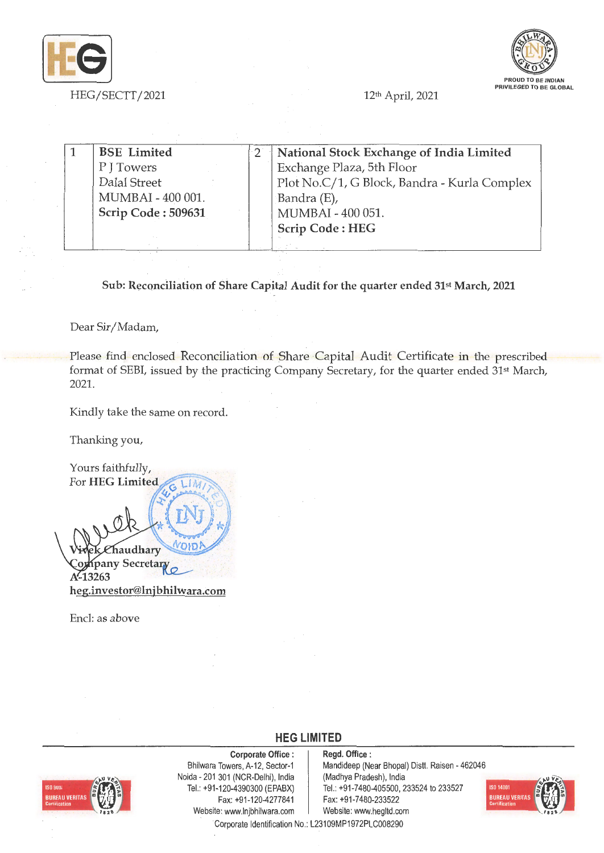



| <b>BSE</b> Limited | National Stock Exchange of India Limited     |
|--------------------|----------------------------------------------|
| P J Towers         | Exchange Plaza, 5th Floor                    |
| Dalal Street       | Plot No.C/1, G Block, Bandra - Kurla Complex |
| MUMBAI - 400 001.  | Bandra (E),                                  |
| Scrip Code: 509631 | MUMBAI - 400 051.                            |
|                    | <b>Scrip Code: HEG</b>                       |
|                    |                                              |

Sub: Reconciliation of Share Capital Audit for the quarter ended 31<sup>st</sup> March, 2021

Dear Sir/ Madam,

Please find enclosed Reconciliation of Share Capital Audit Certificate in the prescribed format of SEBI, issued by the practicing Company Secretary, for the quarter ended 31st March, 2021.

Kindly take the same on record.

Thanking you,

Yours faithfully, For **HEG** Limited LIM פוס haudhary Kpany Secretary A<sup>2</sup>13263 **heg.investor@lnjbhilwara.com** 

Encl: as above



**Corporate Office** : Bhilwara Towers, A-12, Sector-1 Noida - 201 301 (NCR-Delhi), India Tel.: +91 -120-4390300 (EPABX) Fax: +91 -120-4277841 Website: www.lnjbhilwara.com | Website: www.hegltd.com

**Regd. Office** : Mandideep (Near Bhopal) Distt. Raisen - 462046 (Madhya Pradesh), India Tel.: +91-7480-405500, 233524 to 233527 Fax: +91-7 480-233522



Corporate Identification No.: L23109MP1972PLC008290

**HEG LIMITED**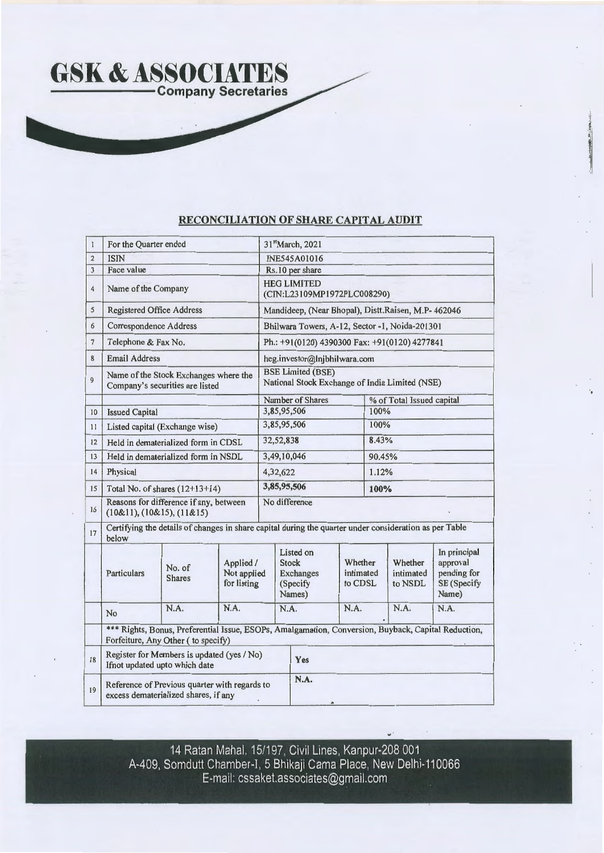

## **RECONCILIATION OF SHARE CAPITAL AUDIT**

| $\mathbf{I}$   | For the Quarter ended                                                                 |                                     |                                         |                                                                            | 31stMarch, 2021                                                                                        |                                 |        |                                 |                                                                 |  |  |
|----------------|---------------------------------------------------------------------------------------|-------------------------------------|-----------------------------------------|----------------------------------------------------------------------------|--------------------------------------------------------------------------------------------------------|---------------------------------|--------|---------------------------------|-----------------------------------------------------------------|--|--|
| $\mathbf 2$    | <b>ISIN</b>                                                                           |                                     |                                         | <b>INE545A01016</b>                                                        |                                                                                                        |                                 |        |                                 |                                                                 |  |  |
| 3              | Face value                                                                            |                                     |                                         | Rs.10 per share                                                            |                                                                                                        |                                 |        |                                 |                                                                 |  |  |
| $\overline{4}$ | Name of the Company                                                                   |                                     |                                         | <b>HEG LIMITED</b><br>(CIN:L23109MP1972PLC008290)                          |                                                                                                        |                                 |        |                                 |                                                                 |  |  |
| 5              | <b>Registered Office Address</b>                                                      |                                     |                                         |                                                                            | Mandideep, (Near Bhopal), Distt.Raisen, M.P- 462046                                                    |                                 |        |                                 |                                                                 |  |  |
| 6              | <b>Correspondence Address</b>                                                         |                                     |                                         | Bhilwara Towers, A-12, Sector -1, Noida-201301                             |                                                                                                        |                                 |        |                                 |                                                                 |  |  |
| $\overline{7}$ | Telephone & Fax No.                                                                   |                                     |                                         | Ph.: +91(0120) 4390300 Fax: +91(0120) 4277841                              |                                                                                                        |                                 |        |                                 |                                                                 |  |  |
| 8              | <b>Email Address</b>                                                                  |                                     |                                         |                                                                            | heg.investor@Injbhilwara.com                                                                           |                                 |        |                                 |                                                                 |  |  |
| $\overline{9}$ | Name of the Stock Exchanges where the<br>Company's securities are listed              |                                     |                                         | <b>BSE Limited (BSE)</b><br>National Stock Exchange of India Limited (NSE) |                                                                                                        |                                 |        |                                 |                                                                 |  |  |
|                |                                                                                       |                                     |                                         |                                                                            | Number of Shares                                                                                       |                                 |        | % of Total Issued capital       |                                                                 |  |  |
| 10             | <b>Issued Capital</b>                                                                 |                                     |                                         |                                                                            | 3,85,95,506                                                                                            |                                 |        | 100%                            |                                                                 |  |  |
| 11             |                                                                                       | Listed capital (Exchange wise)      |                                         | 3,85,95,506                                                                |                                                                                                        |                                 | 100%   |                                 |                                                                 |  |  |
| 12             | Held in dematerialized form in CDSL                                                   |                                     |                                         |                                                                            | 32,52,838                                                                                              |                                 |        | 8.43%                           |                                                                 |  |  |
| 13             | Held in dematerialized form in NSDL                                                   |                                     |                                         | 3,49,10,046                                                                |                                                                                                        |                                 | 90.45% |                                 |                                                                 |  |  |
| 14             | Physical                                                                              |                                     |                                         | 4,32,622                                                                   |                                                                                                        |                                 | 1.12%  |                                 |                                                                 |  |  |
| 15             | Total No. of shares $(12+13+14)$                                                      |                                     |                                         | 3,85,95,506                                                                |                                                                                                        |                                 | 100%   |                                 |                                                                 |  |  |
| 16             | Reasons for difference if any, between<br>$(10&11)$ , $(10&15)$ , $(11&15)$           |                                     |                                         | No difference                                                              |                                                                                                        |                                 |        |                                 |                                                                 |  |  |
| 17             | below                                                                                 |                                     |                                         |                                                                            | Certifying the details of changes in share capital during the quarter under consideration as per Table |                                 |        |                                 |                                                                 |  |  |
|                | <b>Particulars</b>                                                                    | No. of<br><b>Shares</b>             | Applied /<br>Not applied<br>for listing |                                                                            | Listed on<br><b>Stock</b><br><b>Exchanges</b><br>(Specify<br>Names)                                    | Whether<br>intimated<br>to CDSL |        | Whether<br>intimated<br>to NSDL | In principal<br>approval<br>pending for<br>SE (Specify<br>Name) |  |  |
|                | No                                                                                    | N.A.                                | N.A.                                    |                                                                            | N.A.                                                                                                   | N.A.                            |        | N.A.                            | N.A.                                                            |  |  |
|                |                                                                                       | Forfeiture, Any Other ( to specify) |                                         |                                                                            | *** Rights, Bonus, Preferential Issue, ESOPs, Amalgamation, Conversion, Buyback, Capital Reduction,    |                                 |        |                                 |                                                                 |  |  |
| 18             | Register for Members is updated (yes / No)<br>Ifnot updated upto which date           |                                     |                                         |                                                                            | Yes                                                                                                    |                                 |        |                                 |                                                                 |  |  |
| 19             | Reference of Previous quarter with regards to<br>excess dematerialized shares, if any |                                     |                                         |                                                                            | N.A.                                                                                                   |                                 |        |                                 |                                                                 |  |  |

14 Ratan Mahal. 15/197, Civil Lines, Kanpur-208 001 A-409, Somdutt Chamber-I, 5 Bhikaji Cama Place, New Delhi-110066 E-mail: cssaket.associates@gmail.com